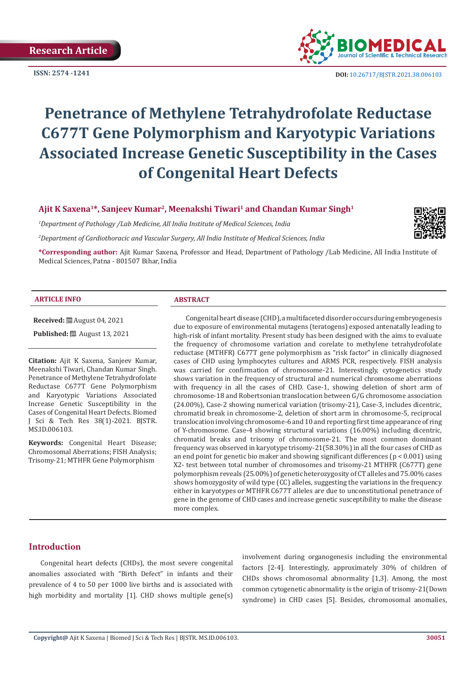**ISSN: 2574 -1241**



 **DOI:** [10.26717/BJSTR.2021.38.006103](https://dx.doi.org/10.26717/BJSTR.2021.38.006103)

# **Penetrance of Methylene Tetrahydrofolate Reductase C677T Gene Polymorphism and Karyotypic Variations Associated Increase Genetic Susceptibility in the Cases of Congenital Heart Defects**

# **Ajit K Saxena1\*, Sanjeev Kumar2, Meenakshi Tiwari1 and Chandan Kumar Singh1**

*1 Department of Pathology /Lab Medicine, All India Institute of Medical Sciences, India*

*2 Department of Cardiothoracic and Vascular Surgery, All India Institute of Medical Sciences, India*



**\*Corresponding author:** Ajit Kumar Saxena, Professor and Head, Department of Pathology /Lab Medicine, All India Institute of Medical Sciences, Patna - 801507 Bihar, India

#### **ARTICLE INFO ABSTRACT**

**Received:** August 04, 2021 **Published:** ■ August 13, 2021

**Citation:** Ajit K Saxena, Sanjeev Kumar, Meenakshi Tiwari, Chandan Kumar Singh. Penetrance of Methylene Tetrahydrofolate Reductase C677T Gene Polymorphism and Karyotypic Variations Associated Increase Genetic Susceptibility in the Cases of Congenital Heart Defects. Biomed J Sci & Tech Res 38(1)-2021. BJSTR. MS.ID.006103.

**Keywords:** Congenital Heart Disease; Chromosomal Aberrations; FISH Analysis; Trisomy-21; MTHFR Gene Polymorphism

Congenital heart disease (CHD), a multifaceted disorder occurs during embryogenesis due to exposure of environmental mutagens (teratogens) exposed antenatally leading to high-risk of infant mortality. Present study has been designed with the aims to evaluate the frequency of chromosome variation and corelate to methylene tetrahydrofolate reductase (MTHFR) C677T gene polymorphism as "risk factor" in clinically diagnosed cases of CHD using lymphocytes cultures and ARMS PCR, respectively. FISH analysis was carried for confirmation of chromosome-21. Interestingly, cytogenetics study shows variation in the frequency of structural and numerical chromosome aberrations with frequency in all the cases of CHD. Case-1, showing deletion of short arm of chromosome-18 and Robertsonian translocation between G/G chromosome association (24.00%), Case-2 showing numerical variation (trisomy-21), Case-3, includes dicentric, chromatid break in chromosome-2, deletion of short arm in chromosome-5, reciprocal translocation involving chromosome-6 and 10 and reporting first time appearance of ring of Y-chromosome. Case-4 showing structural variations (16.00%) including dicentric, chromatid breaks and trisomy of chromosome-21. The most common dominant frequency was observed in karyotype trisomy-21(58.30%) in all the four cases of CHD as an end point for genetic bio maker and showing significant differences (p < 0.001) using X2- test between total number of chromosomes and trisomy-21 MTHFR (C677T) gene polymorphism reveals (25.00%) of genetic heterozygosity of CT alleles and 75.00% cases shows homozygosity of wild type (CC) alleles, suggesting the variations in the frequency either in karyotypes or MTHFR C677T alleles are due to unconstitutional penetrance of gene in the genome of CHD cases and increase genetic susceptibility to make the disease more complex.

# **Introduction**

Congenital heart defects (CHDs), the most severe congenital anomalies associated with "Birth Defect" in infants and their prevalence of 4 to 50 per 1000 live births and is associated with high morbidity and mortality [1]. CHD shows multiple gene(s)

involvement during organogenesis including the environmental factors [2-4]. Interestingly, approximately 30% of children of CHDs shows chromosomal abnormality [1,3]. Among, the most common cytogenetic abnormality is the origin of trisomy-21(Down syndrome) in CHD cases [5]. Besides, chromosomal anomalies,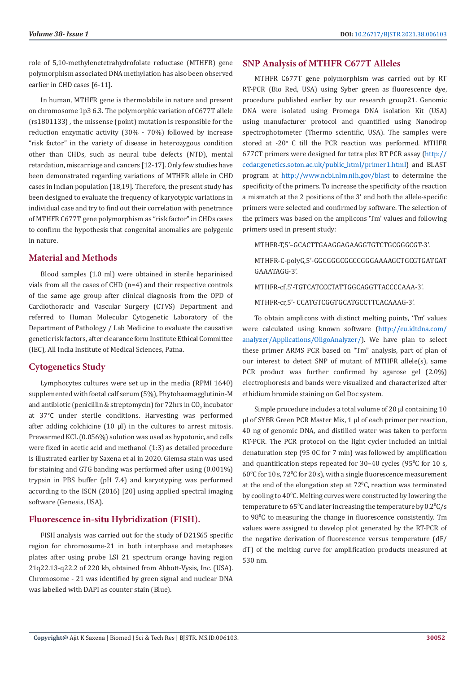role of 5,10-methylenetetrahydrofolate reductase (MTHFR) gene polymorphism associated DNA methylation has also been observed earlier in CHD cases [6-11].

In human, MTHFR gene is thermolabile in nature and present on chromosome 1p3 6.3. The polymorphic variation of C677T allele (rs1801133) , the missense (point) mutation is responsible for the reduction enzymatic activity (30% - 70%) followed by increase "risk factor" in the variety of disease in heterozygous condition other than CHDs, such as neural tube defects (NTD), mental retardation, miscarriage and cancers [12-17]. Only few studies have been demonstrated regarding variations of MTHFR allele in CHD cases in Indian population [18,19]. Therefore, the present study has been designed to evaluate the frequency of karyotypic variations in individual case and try to find out their correlation with penetrance of MTHFR C677T gene polymorphism as "risk factor" in CHDs cases to confirm the hypothesis that congenital anomalies are polygenic in nature.

# **Material and Methods**

Blood samples (1.0 ml) were obtained in sterile heparinised vials from all the cases of CHD (n=4) and their respective controls of the same age group after clinical diagnosis from the OPD of Cardiothoracic and Vascular Surgery (CTVS) Department and referred to Human Molecular Cytogenetic Laboratory of the Department of Pathology / Lab Medicine to evaluate the causative genetic risk factors, after clearance form Institute Ethical Committee (IEC), All India Institute of Medical Sciences, Patna.

# **Cytogenetics Study**

Lymphocytes cultures were set up in the media (RPMI 1640) supplemented with foetal calf serum (5%), Phytohaemagglutinin-M and antibiotic (penicillin & streptomycin) for  $72$ hrs in CO $_2$  incubator at 37°C under sterile conditions. Harvesting was performed after adding colchicine (10 ul) in the cultures to arrest mitosis. Prewarmed KCL (0.056%) solution was used as hypotonic, and cells were fixed in acetic acid and methanol (1:3) as detailed procedure is illustrated earlier by Saxena et al in 2020. Giemsa stain was used for staining and GTG banding was performed after using (0.001%) trypsin in PBS buffer (pH 7.4) and karyotyping was performed according to the ISCN (2016) [20] using applied spectral imaging software (Genesis, USA).

# **Fluorescence in-situ Hybridization (FISH).**

FISH analysis was carried out for the study of D21S65 specific region for chromosome-21 in both interphase and metaphases plates after using probe LSI 21 spectrum orange having region 21q22.13-q22.2 of 220 kb, obtained from Abbott-Vysis, Inc. (USA). Chromosome - 21 was identified by green signal and nuclear DNA was labelled with DAPI as counter stain (Blue).

#### **SNP Analysis of MTHFR C677T Alleles**

MTHFR C677T gene polymorphism was carried out by RT RT-PCR (Bio Red, USA) using Syber green as fluorescence dye, procedure published earlier by our research group21. Genomic DNA were isolated using Promega DNA isolation Kit (USA) using manufacturer protocol and quantified using Nanodrop spectrophotometer (Thermo scientific, USA). The samples were stored at  $-20^{\circ}$  C till the PCR reaction was performed. MTHFR 677CT primers were designed for tetra plex RT PCR assay ([http://](http://cedar.genetics.soton.ac.uk/public_html/primer1.html) [cedar.genetics.soton.ac.uk/public\\_html/primer1.html](http://cedar.genetics.soton.ac.uk/public_html/primer1.html)) and BLAST program at <http://www.ncbi.nlm.nih.gov/blast> to determine the specificity of the primers. To increase the specificity of the reaction a mismatch at the 2 positions of the 3' end both the allele-specific primers were selected and confirmed by software. The selection of the primers was based on the amplicons 'Tm' values and following primers used in present study:

MTHFR-T,5'–GCACTTGAAGGAGAAGGTGTCTGCGGGCGT-3'.

MTHFR-C-polyG,5'-GGCGGGCGGCCGGGAAAAGCTGCGTGATGAT GAAATAGG-3'.

MTHFR-cf,5'-TGTCATCCCTATTGGCAGGTTACCCCAAA-3'.

MTHFR-cr,5'- CCATGTCGGTGCATGCCTTCACAAAG-3'.

To obtain amplicons with distinct melting points, 'Tm' values were calculated using known software ([http://eu.idtdna.com/](http://eu.idtdna.com/analyzer/Applications/OligoAnalyzer/) [analyzer/Applications/OligoAnalyzer/\)](http://eu.idtdna.com/analyzer/Applications/OligoAnalyzer/). We have plan to select these primer ARMS PCR based on "Tm" analysis, part of plan of our interest to detect SNP of mutant of MTHFR allele(s), same PCR product was further confirmed by agarose gel (2.0%) electrophoresis and bands were visualized and characterized after ethidium bromide staining on Gel Doc system.

Simple procedure includes a total volume of 20 µl containing 10 µl of SYBR Green PCR Master Mix, 1 µl of each primer per reaction, 40 ng of genomic DNA, and distilled water was taken to perform RT-PCR. The PCR protocol on the light cycler included an initial denaturation step (95 0C for 7 min) was followed by amplification and quantification steps repeated for 30–40 cycles (95°C for 10 s,  $60^{\circ}$ C for 10 s, 72 $^{\circ}$ C for 20 s), with a single fluorescence measurement at the end of the elongation step at 72<sup>°</sup>C, reaction was terminated by cooling to  $40^{\circ}$ C. Melting curves were constructed by lowering the temperature to  $65^{\circ}$ C and later increasing the temperature by  $0.2^{\circ}$ C/s to 98°C to measuring the change in fluorescence consistently. Tm values were assigned to develop plot generated by the RT-PCR of the negative derivation of fluorescence versus temperature (dF/ dT) of the melting curve for amplification products measured at 530 nm.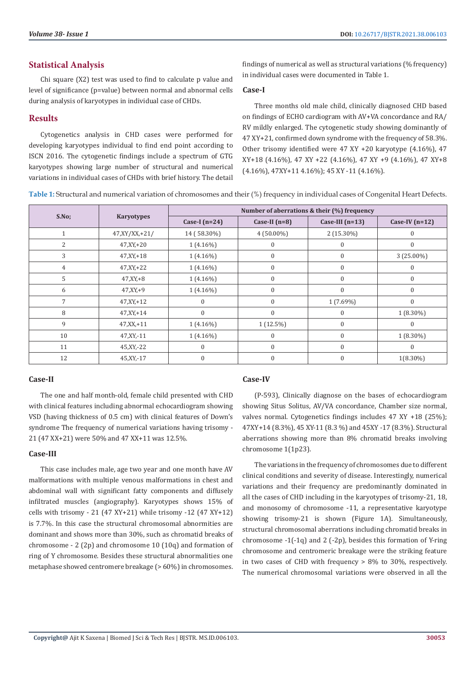## **Statistical Analysis**

Chi square (X2) test was used to find to calculate p value and level of significance (p=value) between normal and abnormal cells during analysis of karyotypes in individual case of CHDs.

## **Results**

Cytogenetics analysis in CHD cases were performed for developing karyotypes individual to find end point according to ISCN 2016. The cytogenetic findings include a spectrum of GTG karyotypes showing large number of structural and numerical variations in individual cases of CHDs with brief history. The detail findings of numerical as well as structural variations (% frequency) in individual cases were documented in Table 1.

#### **Case-I**

Three months old male child, clinically diagnosed CHD based on findings of ECHO cardiogram with AV+VA concordance and RA/ RV mildly enlarged. The cytogenetic study showing dominantly of 47 XY+21, confirmed down syndrome with the frequency of 58.3%. Other trisomy identified were 47 XY +20 karyotype (4.16%), 47 XY+18 (4.16%), 47 XY +22 (4.16%), 47 XY +9 (4.16%), 47 XY+8 (4.16%), 47XY+11 4.16%); 45 XY -11 (4.16%).

**Table 1:** Structural and numerical variation of chromosomes and their (%) frequency in individual cases of Congenital Heart Defects.

| S.No; | <b>Karyotypes</b> | Number of aberrations & their (%) frequency |                 |                   |                  |
|-------|-------------------|---------------------------------------------|-----------------|-------------------|------------------|
|       |                   | Case-I $(n=24)$                             | Case-II $(n=8)$ | Case-III $(n=13)$ | Case-IV $(n=12)$ |
|       | $47, XY/XX, +21/$ | 14 (58.30%)                                 | $4(50.00\%)$    | 2 (15.30%)        | $\Omega$         |
| 2     | $47, XY, +20$     | $1(4.16\%)$                                 | $\Omega$        |                   | $\Omega$         |
| 3     | $47, XY, +18$     | $1(4.16\%)$                                 | $\Omega$        | $\overline{0}$    | 3 (25.00%)       |
| 4     | $47, XY, +22$     | $1(4.16\%)$                                 | $\mathbf{0}$    | $\mathbf{0}$      | $\mathbf{0}$     |
| 5     | $47, XY, +8$      | $1(4.16\%)$                                 | $\Omega$        | $\Omega$          | $\Omega$         |
| 6     | $47, XY, +9$      | $1(4.16\%)$                                 | $\Omega$        | $\overline{0}$    | $\Omega$         |
| 7     | $47, XY, +12$     | $\theta$                                    | $\Omega$        | $1(7.69\%)$       | $\mathbf{0}$     |
| 8     | $47, XY + 14$     | $\theta$                                    | $\Omega$        | 0                 | $1(8.30\%)$      |
| 9     | $47, XX, +11$     | $1(4.16\%)$                                 | $1(12.5\%)$     | $\mathbf{0}$      | $\Omega$         |
| 10    | 47, XY, -11       | $1(4.16\%)$                                 | $\Omega$        | 0                 | $1(8.30\%)$      |
| 11    | 45, XY, -22       | $\mathbf{0}$                                | $\Omega$        | $\Omega$          | $\Omega$         |
| 12    | 45, XY, -17       | $\theta$                                    | $\Omega$        | $\mathbf{0}$      | $1(8.30\%)$      |

#### **Case-II**

The one and half month-old, female child presented with CHD with clinical features including abnormal echocardiogram showing VSD (having thickness of 0.5 cm) with clinical features of Down's syndrome The frequency of numerical variations having trisomy - 21 (47 XX+21) were 50% and 47 XX+11 was 12.5%.

#### **Case-III**

This case includes male, age two year and one month have AV malformations with multiple venous malformations in chest and abdominal wall with significant fatty components and diffusely infiltrated muscles (angiography). Karyotypes shows 15% of cells with trisomy - 21 (47 XY+21) while trisomy -12 (47 XY+12) is 7.7%. In this case the structural chromosomal abnormities are dominant and shows more than 30%, such as chromatid breaks of chromosome - 2 (2p) and chromosome 10 (10q) and formation of ring of Y chromosome. Besides these structural abnormalities one metaphase showed centromere breakage (> 60%) in chromosomes.

#### **Case-IV**

(P-593), Clinically diagnose on the bases of echocardiogram showing Situs Solitus, AV/VA concordance, Chamber size normal, valves normal. Cytogenetics findings includes 47 XY +18 (25%); 47XY+14 (8.3%), 45 XY-11 (8.3 %) and 45XY -17 (8.3%). Structural aberrations showing more than 8% chromatid breaks involving chromosome 1(1p23).

The variations in the frequency of chromosomes due to different clinical conditions and severity of disease. Interestingly, numerical variations and their frequency are predominantly dominated in all the cases of CHD including in the karyotypes of trisomy-21, 18, and monosomy of chromosome -11, a representative karyotype showing trisomy-21 is shown (Figure 1A). Simultaneously, structural chromosomal aberrations including chromatid breaks in chromosome -1(-1q) and 2 (-2p), besides this formation of Y-ring chromosome and centromeric breakage were the striking feature in two cases of CHD with frequency > 8% to 30%, respectively. The numerical chromosomal variations were observed in all the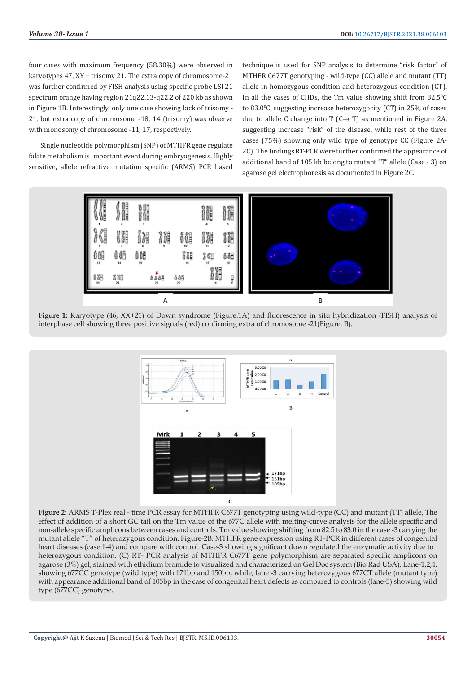four cases with maximum frequency (58.30%) were observed in karyotypes 47, XY + trisomy 21. The extra copy of chromosome-21 was further confirmed by FISH analysis using specific probe LSI 21 spectrum orange having region 21q22.13-q22.2 of 220 kb as shown in Figure 1B. Interestingly, only one case showing lack of trisomy - 21, but extra copy of chromosome -18, 14 (trisomy) was observe with monosomy of chromosome -11, 17, respectively.

Single nucleotide polymorphism (SNP) of MTHFR gene regulate folate metabolism is important event during embryogenesis. Highly sensitive, allele refractive mutation specific (ARMS) PCR based technique is used for SNP analysis to determine "risk factor" of MTHFR C677T genotyping - wild-type (CC) allele and mutant (TT) allele in homozygous condition and heterozygous condition (CT). In all the cases of CHDs, the  $Tm$  value showing shift from  $82.5^{\circ}C$ to 83.0°C, suggesting increase heterozygocity (CT) in 25% of cases due to allele C change into T  $(C \rightarrow T)$  as mentioned in Figure 2A, suggesting increase "risk" of the disease, while rest of the three cases (75%) showing only wild type of genotype CC (Figure 2A-2C). The findings RT-PCR were further confirmed the appearance of additional band of 105 kb belong to mutant "T" allele (Case - 3) on agarose gel electrophoresis as documented in Figure 2C.



**Figure 1:** Karyotype (46, XX+21) of Down syndrome (Figure.1A) and fluorescence in situ hybridization (FISH) analysis of interphase cell showing three positive signals (red) confirming extra of chromosome -21(Figure. B).



**Figure 2:** ARMS T-Plex real - time PCR assay for MTHFR C677T genotyping using wild-type (CC) and mutant (TT) allele, The effect of addition of a short GC tail on the Tm value of the 677C allele with melting-curve analysis for the allele specific and non-allele specific amplicons between cases and controls. Tm value showing shifting from 82.5 to 83.0 in the case -3 carrying the mutant allele "T" of heterozygous condition. Figure-2B. MTHFR gene expression using RT-PCR in different cases of congenital heart diseases (case 1-4) and compare with control. Case-3 showing significant down regulated the enzymatic activity due to heterozygous condition. (C) RT- PCR analysis of MTHFR C677T gene polymorphism are separated specific amplicons on agarose (3%) gel, stained with ethidium bromide to visualized and characterized on Gel Doc system (Bio Rad USA). Lane-1,2,4, showing 677CC genotype (wild type) with 171bp and 150bp, while, lane -3 carrying heterozygous 677CT allele (mutant type) with appearance additional band of 105bp in the case of congenital heart defects as compared to controls (lane-5) showing wild type (677CC) genotype.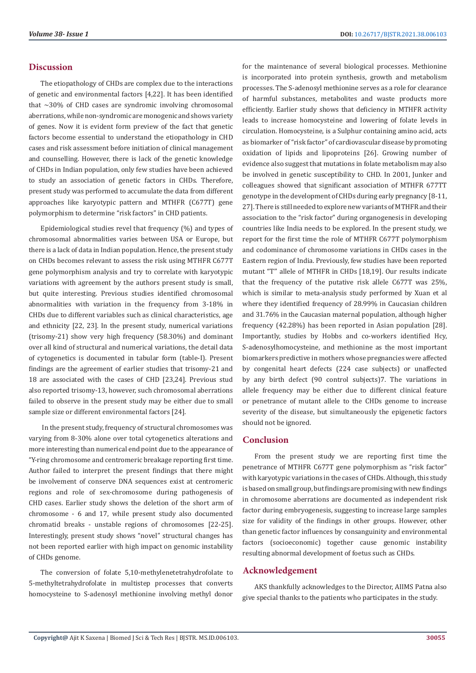#### **Discussion**

The etiopathology of CHDs are complex due to the interactions of genetic and environmental factors [4,22]. It has been identified that  $\sim$ 30% of CHD cases are syndromic involving chromosomal aberrations, while non-syndromic are monogenic and shows variety of genes. Now it is evident form preview of the fact that genetic factors become essential to understand the etiopathology in CHD cases and risk assessment before initiation of clinical management and counselling. However, there is lack of the genetic knowledge of CHDs in Indian population, only few studies have been achieved to study an association of genetic factors in CHDs. Therefore, present study was performed to accumulate the data from different approaches like karyotypic pattern and MTHFR (C677T) gene polymorphism to determine "risk factors" in CHD patients.

Epidemiological studies revel that frequency (%) and types of chromosomal abnormalities varies between USA or Europe, but there is a lack of data in Indian population. Hence, the present study on CHDs becomes relevant to assess the risk using MTHFR C677T gene polymorphism analysis and try to correlate with karyotypic variations with agreement by the authors present study is small, but quite interesting. Previous studies identified chromosomal abnormalities with variation in the frequency from 3-18% in CHDs due to different variables such as clinical characteristics, age and ethnicity [22, 23]. In the present study, numerical variations (trisomy-21) show very high frequency (58.30%) and dominant over all kind of structural and numerical variations, the detail data of cytogenetics is documented in tabular form (table-I). Present findings are the agreement of earlier studies that trisomy-21 and 18 are associated with the cases of CHD [23,24]. Previous stud also reported trisomy-13, however, such chromosomal aberrations failed to observe in the present study may be either due to small sample size or different environmental factors [24].

 In the present study, frequency of structural chromosomes was varying from 8-30% alone over total cytogenetics alterations and more interesting than numerical end point due to the appearance of "Y-ring chromosome and centromeric breakage reporting first time. Author failed to interpret the present findings that there might be involvement of conserve DNA sequences exist at centromeric regions and role of sex-chromosome during pathogenesis of CHD cases. Earlier study shows the deletion of the short arm of chromosome - 6 and 17, while present study also documented chromatid breaks - unstable regions of chromosomes [22-25]. Interestingly, present study shows "novel" structural changes has not been reported earlier with high impact on genomic instability of CHDs genome.

The conversion of folate 5,10-methylenetetrahydrofolate to 5-methyltetrahydrofolate in multistep processes that converts homocysteine to S-adenosyl methionine involving methyl donor for the maintenance of several biological processes. Methionine is incorporated into protein synthesis, growth and metabolism processes. The S-adenosyl methionine serves as a role for clearance of harmful substances, metabolites and waste products more efficiently. Earlier study shows that deficiency in MTHFR activity leads to increase homocysteine and lowering of folate levels in circulation. Homocysteine, is a Sulphur containing amino acid, acts as biomarker of "risk factor" of cardiovascular disease by promoting oxidation of lipids and lipoproteins [26]. Growing number of evidence also suggest that mutations in folate metabolism may also be involved in genetic susceptibility to CHD. In 2001, Junker and colleagues showed that significant association of MTHFR 677TT genotype in the development of CHDs during early pregnancy [8-11, 27]. There is still needed to explore new variants of MTHFR and their association to the "risk factor" during organogenesis in developing countries like India needs to be explored. In the present study, we report for the first time the role of MTHFR C677T polymorphism and codominance of chromosome variations in CHDs cases in the Eastern region of India. Previously, few studies have been reported mutant "T'' allele of MTHFR in CHDs [18,19]. Our results indicate that the frequency of the putative risk allele C677T was 25%, which is similar to meta-analysis study performed by Xuan et al where they identified frequency of 28.99% in Caucasian children and 31.76% in the Caucasian maternal population, although higher frequency (42.28%) has been reported in Asian population [28]. Importantly, studies by Hobbs and co-workers identified Hcy, S-adenosylhomocysteine, and methionine as the most important biomarkers predictive in mothers whose pregnancies were affected by congenital heart defects (224 case subjects) or unaffected by any birth defect (90 control subjects)7. The variations in allele frequency may be either due to different clinical feature or penetrance of mutant allele to the CHDs genome to increase severity of the disease, but simultaneously the epigenetic factors should not be ignored.

#### **Conclusion**

From the present study we are reporting first time the penetrance of MTHFR C677T gene polymorphism as "risk factor" with karyotypic variations in the cases of CHDs. Although, this study is based on small group, but findings are promising with new findings in chromosome aberrations are documented as independent risk factor during embryogenesis, suggesting to increase large samples size for validity of the findings in other groups. However, other than genetic factor influences by consanguinity and environmental factors (socioeconomic) together cause genomic instability resulting abnormal development of foetus such as CHDs.

#### **Acknowledgement**

AKS thankfully acknowledges to the Director, AIIMS Patna also give special thanks to the patients who participates in the study.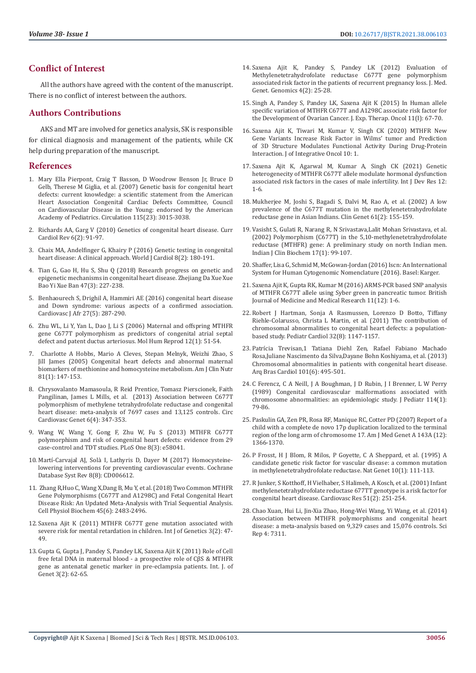# **Conflict of Interest**

All the authors have agreed with the content of the manuscript. There is no conflict of interest between the authors.

#### **Authors Contributions**

AKS and MT are involved for genetics analysis, SK is responsible for clinical diagnosis and management of the patients, while CK help during preparation of the manuscript.

#### **References**

- 1. [Mary Ella Pierpont, Craig T Basson, D Woodrow Benson Jr, Bruce D](https://pubmed.ncbi.nlm.nih.gov/17519398/)  [Gelb, Therese M Giglia, et al. \(2007\) Genetic basis for congenital heart](https://pubmed.ncbi.nlm.nih.gov/17519398/)  [defects: current knowledge: a scientific statement from the American](https://pubmed.ncbi.nlm.nih.gov/17519398/)  [Heart Association Congenital Cardiac Defects Committee, Council](https://pubmed.ncbi.nlm.nih.gov/17519398/)  [on Cardiovascular Disease in the Young: endorsed by the American](https://pubmed.ncbi.nlm.nih.gov/17519398/)  [Academy of Pediatrics. Circulation 115\(23\): 3015-3038.](https://pubmed.ncbi.nlm.nih.gov/17519398/)
- 2. [Richards AA, Garg V \(2010\) Genetics of congenital heart disease. Curr](https://www.ncbi.nlm.nih.gov/pmc/articles/PMC2892081/)  [Cardiol Rev 6\(2\): 91-97.](https://www.ncbi.nlm.nih.gov/pmc/articles/PMC2892081/)
- 3. [Chaix MA, Andelfinger G, Khairy P \(2016\) Genetic testing in congenital](https://www.ncbi.nlm.nih.gov/pmc/articles/PMC4766268/)  [heart disease: A clinical approach. World J Cardiol 8\(2\): 180-191.](https://www.ncbi.nlm.nih.gov/pmc/articles/PMC4766268/)
- 4. [Tian G, Gao H, Hu S, Shu Q \(2018\) Research progress on genetic and](https://pubmed.ncbi.nlm.nih.gov/30226321/)  [epigenetic mechanisms in congenital heart disease. Zhejiang Da Xue Xue](https://pubmed.ncbi.nlm.nih.gov/30226321/)  [Bao Yi Xue Ban 47\(3\): 227-238.](https://pubmed.ncbi.nlm.nih.gov/30226321/)
- 5. [Benhaourech S, Drighil A, Hammiri AE \(2016\) congenital heart disease](https://pubmed.ncbi.nlm.nih.gov/27805241/)  [and Down syndrome: various aspects of a confirmed association.](https://pubmed.ncbi.nlm.nih.gov/27805241/)  [Cardiovasc J Afr 27\(5\): 287-290.](https://pubmed.ncbi.nlm.nih.gov/27805241/)
- 6. [Zhu WL, Li Y, Yan L, Dao J, Li S \(2006\) Maternal and offspring MTHFR](https://pubmed.ncbi.nlm.nih.gov/16373366/)  [gene C677T polymorphism as predictors of congenital atrial septal](https://pubmed.ncbi.nlm.nih.gov/16373366/)  [defect and patent ductus arteriosus. Mol Hum Reprod 12\(1\): 51-54.](https://pubmed.ncbi.nlm.nih.gov/16373366/)
- 7. [Charlotte A Hobbs, Mario A Cleves, Stepan Melnyk, Weizhi Zhao, S](https://pubmed.ncbi.nlm.nih.gov/15640474/)  [Jill James \(2005\) Congenital heart defects and abnormal maternal](https://pubmed.ncbi.nlm.nih.gov/15640474/)  [biomarkers of methionine and homocysteine metabolism. Am J Clin Nutr](https://pubmed.ncbi.nlm.nih.gov/15640474/)  [81\(1\): 147-153.](https://pubmed.ncbi.nlm.nih.gov/15640474/)
- 8. [Chrysovalanto Mamasoula, R Reid Prentice, Tomasz Pierscionek, Faith](https://www.ncbi.nlm.nih.gov/pmc/articles/PMC3855044/)  [Pangilinan, James L Mills, et al. \(2013\) Association between C677T](https://www.ncbi.nlm.nih.gov/pmc/articles/PMC3855044/)  [polymorphism of methylene tetrahydrofolate reductase and congenital](https://www.ncbi.nlm.nih.gov/pmc/articles/PMC3855044/)  [heart disease: meta-analysis of 7697 cases and 13,125 controls. Circ](https://www.ncbi.nlm.nih.gov/pmc/articles/PMC3855044/)  [Cardiovasc Genet 6\(4\): 347-353.](https://www.ncbi.nlm.nih.gov/pmc/articles/PMC3855044/)
- 9. [Wang W, Wang Y, Gong F, Zhu W, Fu S \(2013\) MTHFR C677T](https://pubmed.ncbi.nlm.nih.gov/23536781/)  [polymorphism and risk of congenital heart defects: evidence from 29](https://pubmed.ncbi.nlm.nih.gov/23536781/)  [case-control and TDT studies. PLoS One 8\(3\): e58041.](https://pubmed.ncbi.nlm.nih.gov/23536781/)
- 10. [Martí-Carvajal AJ, Solà I, Lathyris D, Dayer M \(2017\) Homocysteine](https://pubmed.ncbi.nlm.nih.gov/28816346/)[lowering interventions for preventing cardiovascular events. Cochrane](https://pubmed.ncbi.nlm.nih.gov/28816346/)  [Database Syst Rev 8\(8\): CD006612.](https://pubmed.ncbi.nlm.nih.gov/28816346/)
- 11. [Zhang R,Huo C, Wang X,Dang B, Mu Y, et al. \(2018\) Two Common MTHFR](https://www.karger.com/Article/Fulltext/488267)  [Gene Polymorphisms \(C677T and A1298C\) and Fetal Congenital Heart](https://www.karger.com/Article/Fulltext/488267)  [Disease Risk: An Updated Meta-Analysis with Trial Sequential Analysis.](https://www.karger.com/Article/Fulltext/488267)  [Cell Physiol Biochem 45\(6\): 2483-2496.](https://www.karger.com/Article/Fulltext/488267)
- 12. [Saxena Ajit K \(2011\) MTHFR C677T gene mutation associated with](https://bioinfopublication.org/pages/article.php?id=BIA0000205)  [severe risk for mental retardation in children. Int J of Genetics 3\(2\): 47-](https://bioinfopublication.org/pages/article.php?id=BIA0000205) [49.](https://bioinfopublication.org/pages/article.php?id=BIA0000205)
- 13. [Gupta G, Gupta J, Pandey S, Pandey LK, Saxena Ajit K \(2011\) Role of Cell](https://www.researchgate.net/publication/272861929_ROLE_OF_CELL_FREE_FETAL_DNA_IN_MATERNAL_BLOOD_-_A_PROSPECTIVE_ROLE_OF_CBS_AND_MTHFR_GENE_AS_ANTENATAL_GENETIC_MARKER_IN_PREECLAMPSIA_PATIENTS)  [free fetal DNA in maternal blood - a prospective role of CβS & MTHFR](https://www.researchgate.net/publication/272861929_ROLE_OF_CELL_FREE_FETAL_DNA_IN_MATERNAL_BLOOD_-_A_PROSPECTIVE_ROLE_OF_CBS_AND_MTHFR_GENE_AS_ANTENATAL_GENETIC_MARKER_IN_PREECLAMPSIA_PATIENTS)  [gene as antenatal genetic marker in pre-eclampsia patients. Int. J. of](https://www.researchgate.net/publication/272861929_ROLE_OF_CELL_FREE_FETAL_DNA_IN_MATERNAL_BLOOD_-_A_PROSPECTIVE_ROLE_OF_CBS_AND_MTHFR_GENE_AS_ANTENATAL_GENETIC_MARKER_IN_PREECLAMPSIA_PATIENTS)  [Genet 3\(2\): 62-65.](https://www.researchgate.net/publication/272861929_ROLE_OF_CELL_FREE_FETAL_DNA_IN_MATERNAL_BLOOD_-_A_PROSPECTIVE_ROLE_OF_CBS_AND_MTHFR_GENE_AS_ANTENATAL_GENETIC_MARKER_IN_PREECLAMPSIA_PATIENTS)
- 14. [Saxena Ajit K, Pandey S, Pandey LK \(2012\) Evaluation of](https://academicjournals.org/journal/JMGG/article-full-text-pdf/4D998F69006) [Methylenetetrahydrofolate reductase C677T gene polymorphism](https://academicjournals.org/journal/JMGG/article-full-text-pdf/4D998F69006) [associated risk factor in the patients of recurrent pregnancy loss. J. Med.](https://academicjournals.org/journal/JMGG/article-full-text-pdf/4D998F69006) [Genet. Genomics 4\(2\): 25-28.](https://academicjournals.org/journal/JMGG/article-full-text-pdf/4D998F69006)
- 15. Singh A, Pandey S, Pandey LK, Saxena Ajit K (2015) In Human allele specific variation of MTHFR C677T and A1298C associate risk factor for the Development of Ovarian Cancer. J. Exp. Therap. Oncol 11(I): 67-70.
- 16. [Saxena Ajit K, Tiwari M, Kumar V, Singh CK \(2020\) MTHFR New](https://www.researchgate.net/publication/349040261_Journal_of_Integrative_Oncology_MTHFR_New_Gene_Variants_Increase_Risk_Factor_in_Wilms) [Gene Variants Increase Risk Factor in Wilms' tumor and Prediction](https://www.researchgate.net/publication/349040261_Journal_of_Integrative_Oncology_MTHFR_New_Gene_Variants_Increase_Risk_Factor_in_Wilms) [of 3D Structure Modulates Functional Activity During Drug-Protein](https://www.researchgate.net/publication/349040261_Journal_of_Integrative_Oncology_MTHFR_New_Gene_Variants_Increase_Risk_Factor_in_Wilms) [Interaction. J of Integrative Oncol 10: 1.](https://www.researchgate.net/publication/349040261_Journal_of_Integrative_Oncology_MTHFR_New_Gene_Variants_Increase_Risk_Factor_in_Wilms)
- 17. [Saxena Ajit K, Agarwal M, Kumar A, Singh CK \(2021\) Genetic](https://www.journalijdr.com/genetic-heterogenecity-mthfr-c677t-allele-modulate-hormonal-dysfunction-associated-risk-factors) [heterogenecity of MTHFR C677T allele modulate hormonal dysfunction](https://www.journalijdr.com/genetic-heterogenecity-mthfr-c677t-allele-modulate-hormonal-dysfunction-associated-risk-factors) [associated risk factors in the cases of male infertility. Int J Dev Res 12:](https://www.journalijdr.com/genetic-heterogenecity-mthfr-c677t-allele-modulate-hormonal-dysfunction-associated-risk-factors) [1-6.](https://www.journalijdr.com/genetic-heterogenecity-mthfr-c677t-allele-modulate-hormonal-dysfunction-associated-risk-factors)
- 18. [Mukherjee M, Joshi S, Bagadi S, Dalvi M, Rao A, et al. \(2002\) A low](https://pubmed.ncbi.nlm.nih.gov/11940092/) [prevalence of the C677T mutation in the methylenetetrahydrofolate](https://pubmed.ncbi.nlm.nih.gov/11940092/) [reductase gene in Asian Indians. Clin Genet 61\(2\): 155-159.](https://pubmed.ncbi.nlm.nih.gov/11940092/)
- 19. [Vasisht S, Gulati R, Narang R, N Srivastava,Lalit Mohan Srivastava, et al.](https://www.researchgate.net/publication/232721747_Polymorphism_C677T_in_the_510-Methylenetetrahydrofolate_reductase_MTHFR_gene_A_preliminary_study_on_north_Indian_men) [\(2002\) Polymorphism \(C677T\) in the 5,10-methylenetetrahydrofolate](https://www.researchgate.net/publication/232721747_Polymorphism_C677T_in_the_510-Methylenetetrahydrofolate_reductase_MTHFR_gene_A_preliminary_study_on_north_Indian_men) [reductase \(MTHFR\) gene: A preliminary study on north Indian men.](https://www.researchgate.net/publication/232721747_Polymorphism_C677T_in_the_510-Methylenetetrahydrofolate_reductase_MTHFR_gene_A_preliminary_study_on_north_Indian_men) [Indian J Clin Biochem 17\(1\): 99-107.](https://www.researchgate.net/publication/232721747_Polymorphism_C677T_in_the_510-Methylenetetrahydrofolate_reductase_MTHFR_gene_A_preliminary_study_on_north_Indian_men)
- 20. Shaffer, Lisa G, Schmid M, McGowan-Jordan (2016) Iscn: An International System for Human Cytogenomic Nomenclature (2016). Basel: Karger.
- 21. Saxena Ajit K, Gupta RK, Kumar M (2016) ARMS-PCR based SNP analysis of MTHFR C677T allele using Syber green in pancreatic tumor. British Journal of Medicine and Medical Research 11(12): 1-6.
- 22. [Robert J Hartman, Sonja A Rasmussen, Lorenzo D Botto, Tiffany](https://pubmed.ncbi.nlm.nih.gov/21728077/) [Riehle-Colarusso, Christa L Martin, et al. \(2011\) The contribution of](https://pubmed.ncbi.nlm.nih.gov/21728077/) [chromosomal abnormalities to congenital heart defects: a population](https://pubmed.ncbi.nlm.nih.gov/21728077/)[based study. Pediatr Cardiol 32\(8\): 1147-1157.](https://pubmed.ncbi.nlm.nih.gov/21728077/)
- 23. [Patrícia Trevisan,1 Tatiana Diehl Zen, Rafael Fabiano Machado](https://www.ncbi.nlm.nih.gov/pmc/articles/PMC4106807/) [Rosa,Juliane Nascimento da Silva,Dayane Bohn Koshiyama, et al. \(2013\)](https://www.ncbi.nlm.nih.gov/pmc/articles/PMC4106807/) [Chromosomal abnormalities in patients with congenital heart disease.](https://www.ncbi.nlm.nih.gov/pmc/articles/PMC4106807/) [Arq Bras Cardiol 101\(6\): 495-501.](https://www.ncbi.nlm.nih.gov/pmc/articles/PMC4106807/)
- 24. [C Ferencz, C A Neill, J A Boughman, J D Rubin, J I Brenner, L W Perry](https://pubmed.ncbi.nlm.nih.gov/2521249/) [\(1989\) Congenital cardiovascular malformations associated with](https://pubmed.ncbi.nlm.nih.gov/2521249/) [chromosome abnormalities: an epidemiologic study. J Pediatr 114\(1\):](https://pubmed.ncbi.nlm.nih.gov/2521249/) [79-86.](https://pubmed.ncbi.nlm.nih.gov/2521249/)
- 25. [Paskulin GA, Zen PR, Rosa RF, Manique RC, Cotter PD \(2007\) Report of a](https://pubmed.ncbi.nlm.nih.gov/17506105/) [child with a complete de novo 17p duplication localized to the terminal](https://pubmed.ncbi.nlm.nih.gov/17506105/) [region of the long arm of chromosome 17. Am J Med Genet A 143A \(12\):](https://pubmed.ncbi.nlm.nih.gov/17506105/) [1366-1370.](https://pubmed.ncbi.nlm.nih.gov/17506105/)
- 26. [P Frosst, H J Blom, R Milos, P Goyette, C A Sheppard, et al. \(1995\) A](https://pubmed.ncbi.nlm.nih.gov/7647779/) [candidate genetic risk factor for vascular disease: a common mutation](https://pubmed.ncbi.nlm.nih.gov/7647779/) [in methylenetetrahydrofolate reductase. Nat Genet 10\(1\): 111-113.](https://pubmed.ncbi.nlm.nih.gov/7647779/)
- 27. [R Junker, S Kotthoff, H Vielhaber, S Halimeh, A Kosch, et al. \(2001\) Infant](https://pubmed.ncbi.nlm.nih.gov/11470464/) [methylenetetrahydrofolate reductase 677TT genotype is a risk factor for](https://pubmed.ncbi.nlm.nih.gov/11470464/) [congenital heart disease. Cardiovasc Res 51\(2\): 251-254.](https://pubmed.ncbi.nlm.nih.gov/11470464/)
- 28. [Chao Xuan, Hui Li, Jin-Xia Zhao, Hong-Wei Wang, Yi Wang, et al. \(2014\)](https://pubmed.ncbi.nlm.nih.gov/25472587/) [Association between MTHFR polymorphisms and congenital heart](https://pubmed.ncbi.nlm.nih.gov/25472587/) [disease: a meta-analysis based on 9,329 cases and 15,076 controls. Sci](https://pubmed.ncbi.nlm.nih.gov/25472587/) [Rep 4: 7311.](https://pubmed.ncbi.nlm.nih.gov/25472587/)